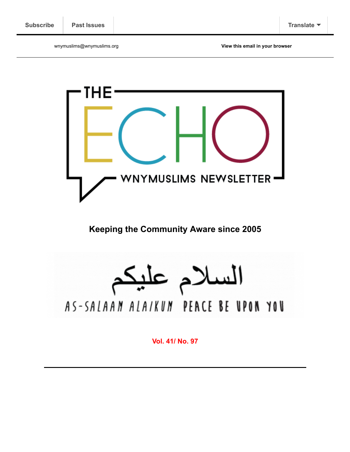wnymuslims@wnymuslims.org **[View this email in your browser](https://mailchi.mp/wnymuslims/lets-get-ready-to-welcome-ramadan?e=[UNIQID])**



**Keeping the Community Aware since 2005**

السلام عليك AS-SALAAN ALAIKUN PEACE BE UPON YOU

**Vol. 41/ No. 97**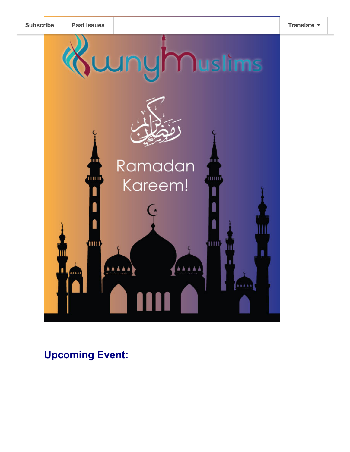

**Upcoming Event:**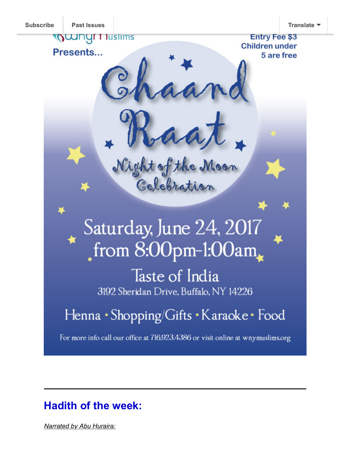

# **Hadith of the week:**

*Narrated by Abu Huraira:*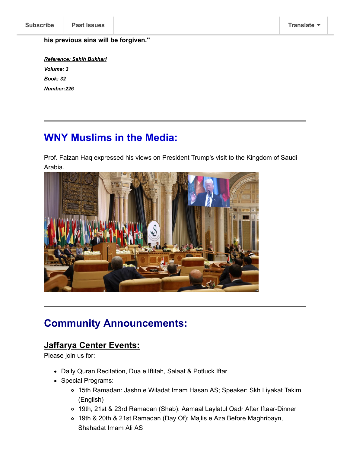#### **his previous sins will be forgiven."**

*Reference: Sahih Bukhari Volume: 3 Book: 32 Number:226*

## **WNY Muslims in the Media:**

Prof. Faizan Haq expressed his views on President Trump's visit to the Kingdom of Saudi Arabia.



### **Community Announcements:**

#### **Jaffarya Center Events:**

Please join us for:

- Daily Quran Recitation, Dua e Iftitah, Salaat & Potluck Iftar
- Special Programs:
	- 15th Ramadan: Jashn e Wiladat Imam Hasan AS; Speaker: Skh Liyakat Takim (English)
	- 19th, 21st & 23rd Ramadan (Shab): Aamaal Laylatul Qadr After Iftaar-Dinner
	- 19th & 20th & 21st Ramadan (Day Of): Majlis e Aza Before Maghribayn, Shahadat Imam Ali AS